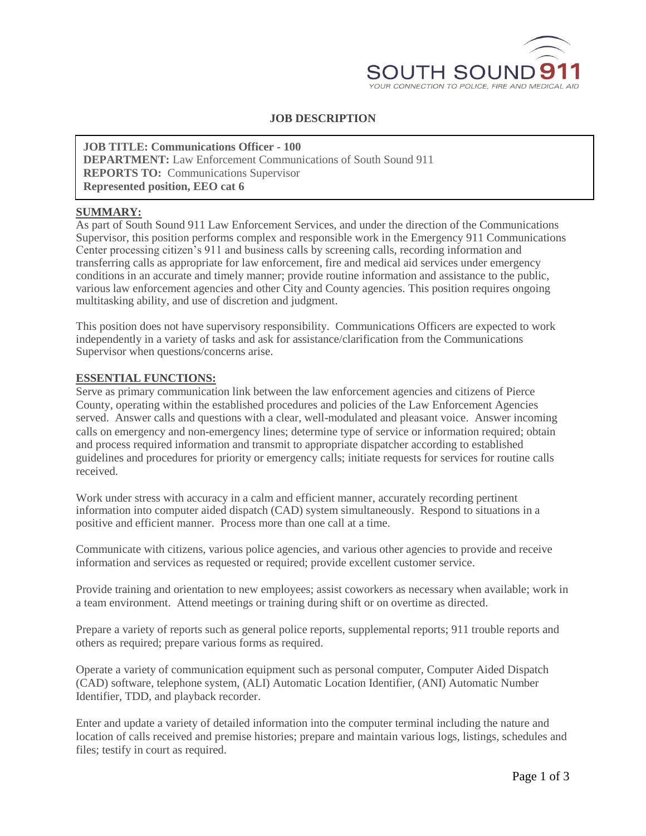

# **JOB DESCRIPTION**

## **JOB TITLE: Communications Officer - 100**

**DEPARTMENT:** Law Enforcement Communications of South Sound 911 **REPORTS TO:** Communications Supervisor

**Represented position, EEO cat 6**

### **SUMMARY:**

As part of South Sound 911 Law Enforcement Services, and under the direction of the Communications Supervisor, this position performs complex and responsible work in the Emergency 911 Communications Center processing citizen's 911 and business calls by screening calls, recording information and transferring calls as appropriate for law enforcement, fire and medical aid services under emergency conditions in an accurate and timely manner; provide routine information and assistance to the public, various law enforcement agencies and other City and County agencies. This position requires ongoing multitasking ability, and use of discretion and judgment.

This position does not have supervisory responsibility. Communications Officers are expected to work independently in a variety of tasks and ask for assistance/clarification from the Communications Supervisor when questions/concerns arise.

#### **ESSENTIAL FUNCTIONS:**

Serve as primary communication link between the law enforcement agencies and citizens of Pierce County, operating within the established procedures and policies of the Law Enforcement Agencies served. Answer calls and questions with a clear, well-modulated and pleasant voice. Answer incoming calls on emergency and non-emergency lines; determine type of service or information required; obtain and process required information and transmit to appropriate dispatcher according to established guidelines and procedures for priority or emergency calls; initiate requests for services for routine calls received.

Work under stress with accuracy in a calm and efficient manner, accurately recording pertinent information into computer aided dispatch (CAD) system simultaneously. Respond to situations in a positive and efficient manner. Process more than one call at a time.

Communicate with citizens, various police agencies, and various other agencies to provide and receive information and services as requested or required; provide excellent customer service.

Provide training and orientation to new employees; assist coworkers as necessary when available; work in a team environment. Attend meetings or training during shift or on overtime as directed.

Prepare a variety of reports such as general police reports, supplemental reports; 911 trouble reports and others as required; prepare various forms as required.

Operate a variety of communication equipment such as personal computer, Computer Aided Dispatch (CAD) software, telephone system, (ALI) Automatic Location Identifier, (ANI) Automatic Number Identifier, TDD, and playback recorder.

Enter and update a variety of detailed information into the computer terminal including the nature and location of calls received and premise histories; prepare and maintain various logs, listings, schedules and files; testify in court as required.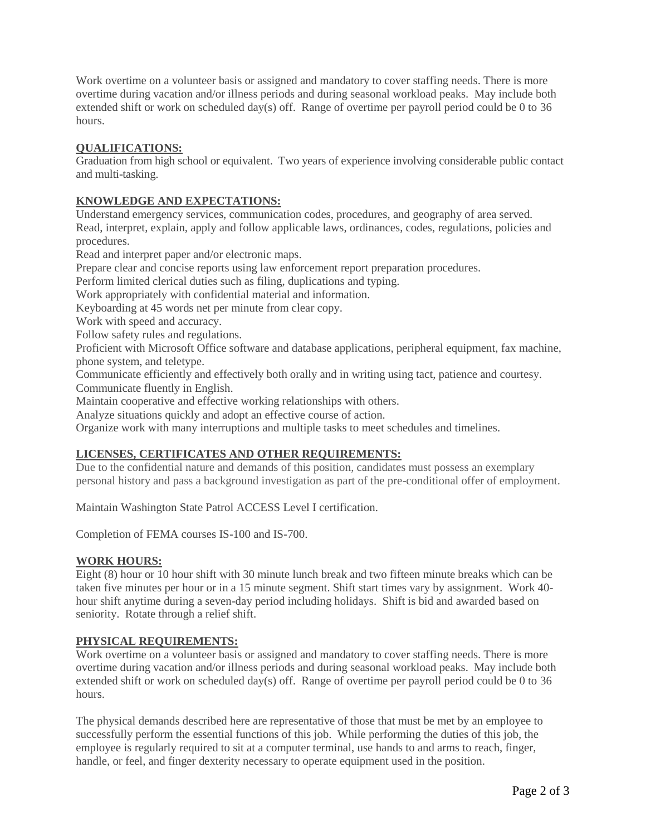Work overtime on a volunteer basis or assigned and mandatory to cover staffing needs. There is more overtime during vacation and/or illness periods and during seasonal workload peaks. May include both extended shift or work on scheduled day(s) off. Range of overtime per payroll period could be 0 to 36 hours.

# **QUALIFICATIONS:**

Graduation from high school or equivalent. Two years of experience involving considerable public contact and multi-tasking.

## **KNOWLEDGE AND EXPECTATIONS:**

Understand emergency services, communication codes, procedures, and geography of area served. Read, interpret, explain, apply and follow applicable laws, ordinances, codes, regulations, policies and procedures.

Read and interpret paper and/or electronic maps.

Prepare clear and concise reports using law enforcement report preparation procedures.

Perform limited clerical duties such as filing, duplications and typing.

Work appropriately with confidential material and information.

Keyboarding at 45 words net per minute from clear copy.

Work with speed and accuracy.

Follow safety rules and regulations.

Proficient with Microsoft Office software and database applications, peripheral equipment, fax machine, phone system, and teletype.

Communicate efficiently and effectively both orally and in writing using tact, patience and courtesy.

Communicate fluently in English.

Maintain cooperative and effective working relationships with others.

Analyze situations quickly and adopt an effective course of action.

Organize work with many interruptions and multiple tasks to meet schedules and timelines.

### **LICENSES, CERTIFICATES AND OTHER REQUIREMENTS:**

Due to the confidential nature and demands of this position, candidates must possess an exemplary personal history and pass a background investigation as part of the pre-conditional offer of employment.

Maintain Washington State Patrol ACCESS Level I certification.

Completion of FEMA courses IS-100 and IS-700.

### **WORK HOURS:**

Eight (8) hour or 10 hour shift with 30 minute lunch break and two fifteen minute breaks which can be taken five minutes per hour or in a 15 minute segment. Shift start times vary by assignment. Work 40 hour shift anytime during a seven-day period including holidays. Shift is bid and awarded based on seniority. Rotate through a relief shift.

#### **PHYSICAL REQUIREMENTS:**

Work overtime on a volunteer basis or assigned and mandatory to cover staffing needs. There is more overtime during vacation and/or illness periods and during seasonal workload peaks. May include both extended shift or work on scheduled day(s) off. Range of overtime per payroll period could be 0 to 36 hours.

The physical demands described here are representative of those that must be met by an employee to successfully perform the essential functions of this job. While performing the duties of this job, the employee is regularly required to sit at a computer terminal, use hands to and arms to reach, finger, handle, or feel, and finger dexterity necessary to operate equipment used in the position.